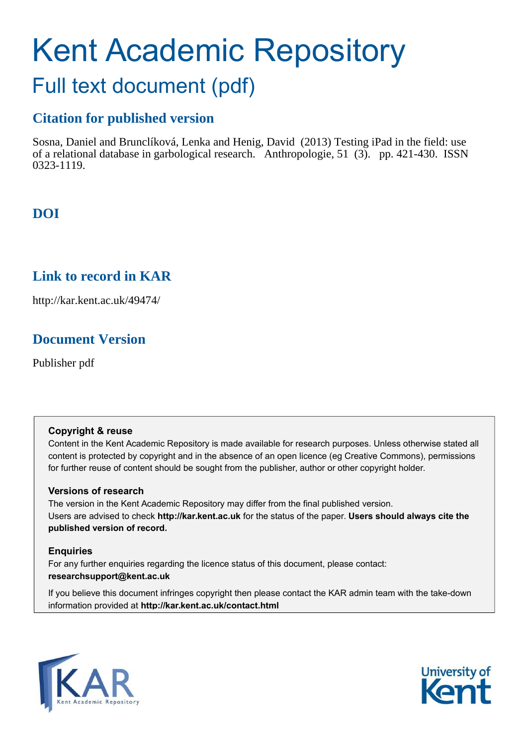# Kent Academic Repository Full text document (pdf)

# **Citation for published version**

Sosna, Daniel and Brunclíková, Lenka and Henig, David (2013) Testing iPad in the field: use of a relational database in garbological research. Anthropologie, 51 (3). pp. 421-430. ISSN 0323-1119.

# **DOI**

## **Link to record in KAR**

http://kar.kent.ac.uk/49474/

## **Document Version**

Publisher pdf

### **Copyright & reuse**

Content in the Kent Academic Repository is made available for research purposes. Unless otherwise stated all content is protected by copyright and in the absence of an open licence (eg Creative Commons), permissions for further reuse of content should be sought from the publisher, author or other copyright holder.

### **Versions of research**

The version in the Kent Academic Repository may differ from the final published version. Users are advised to check **http://kar.kent.ac.uk** for the status of the paper. **Users should always cite the published version of record.**

### **Enquiries**

For any further enquiries regarding the licence status of this document, please contact: **researchsupport@kent.ac.uk**

If you believe this document infringes copyright then please contact the KAR admin team with the take-down information provided at **http://kar.kent.ac.uk/contact.html**



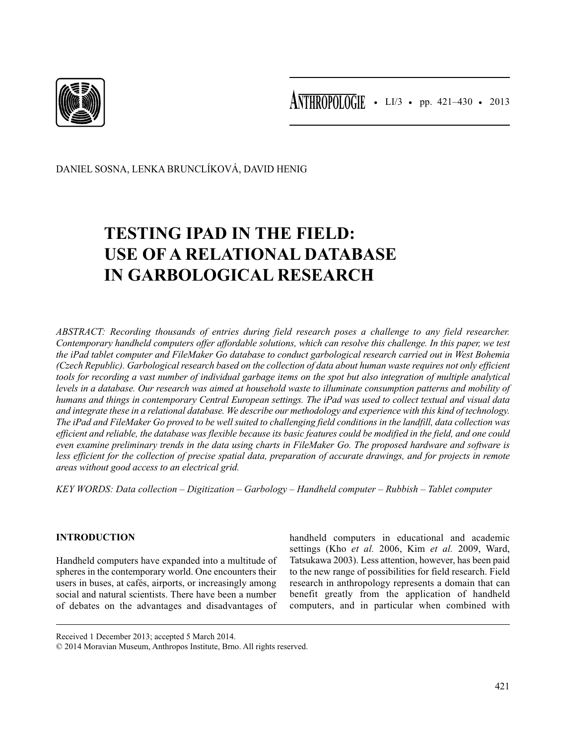

DANIEL SOSNA, LENKA BRUNCLÍKOVÁ, DAVID HENIG

# **TESTING IPAD IN THE FIELD: USE OF A RELATIONAL DATABASE IN GARBOLOGICAL RESEARCH**

*ABSTRACT: Recording thousands of entries during field research poses a challenge to any field researcher. Contemporary handheld computers offer affordable solutions, which can resolve this challenge. In this paper, we test the iPad tablet computer and FileMaker Go database to conduct garbological research carried out in West Bohemia (Czech Republic). Garbological research based on the collection of data about human waste requires not only efficient tools for recording a vast number of individual garbage items on the spot but also integration of multiple analytical levels in a database. Our research was aimed at household waste to illuminate consumption patterns and mobility of humans and things in contemporary Central European settings. The iPad was used to collect textual and visual data and integrate these in a relational database. We describe our methodology and experience with this kind of technology. The iPad and FileMaker Go proved to be well suited to challenging field conditions in the landfill, data collection was efficient and reliable, the database was flexible because its basic features could be modified in the field, and one could even examine preliminary trends in the data using charts in FileMaker Go. The proposed hardware and software is less efficient for the collection of precise spatial data, preparation of accurate drawings, and for projects in remote areas without good access to an electrical grid.*

*KEY WORDS: Data collection – Digitization – Garbology – Handheld computer – Rubbish – Tablet computer*

### **INTRODUCTION**

Handheld computers have expanded into a multitude of spheres in the contemporary world. One encounters their users in buses, at cafés, airports, or increasingly among social and natural scientists. There have been a number of debates on the advantages and disadvantages of handheld computers in educational and academic settings (Kho *et al.* 2006, Kim *et al.* 2009, Ward, Tatsukawa 2003). Less attention, however, has been paid to the new range of possibilities for field research. Field research in anthropology represents a domain that can benefit greatly from the application of handheld computers, and in particular when combined with

Received 1 December 2013; accepted 5 March 2014.

© 2014 Moravian Museum, Anthropos Institute, Brno. All rights reserved.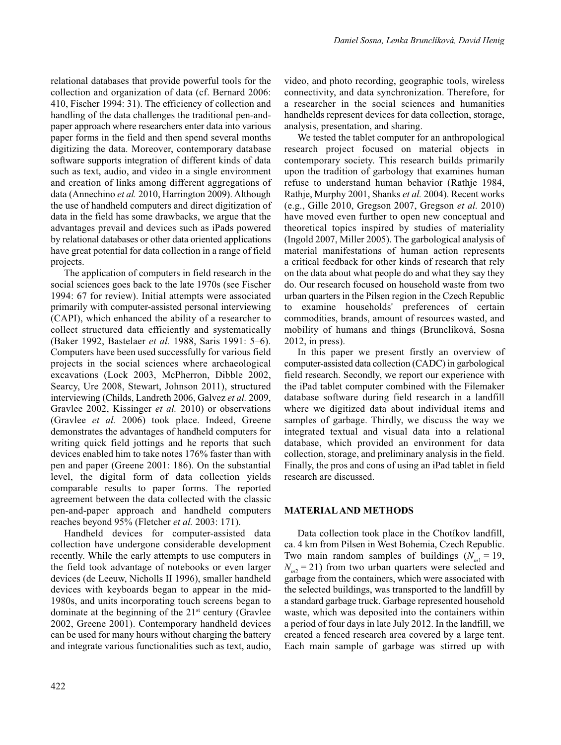relational databases that provide powerful tools for the collection and organization of data (cf. Bernard 2006: 410, Fischer 1994: 31). The efficiency of collection and handling of the data challenges the traditional pen-andpaper approach where researchers enter data into various paper forms in the field and then spend several months digitizing the data. Moreover, contemporary database software supports integration of different kinds of data such as text, audio, and video in a single environment and creation of links among different aggregations of data (Annechino *et al.* 2010, Harrington 2009). Although the use of handheld computers and direct digitization of data in the field has some drawbacks, we argue that the advantages prevail and devices such as iPads powered by relational databases or other data oriented applications have great potential for data collection in a range of field projects.

The application of computers in field research in the social sciences goes back to the late 1970s (see Fischer 1994: 67 for review). Initial attempts were associated primarily with computer-assisted personal interviewing (CAPI), which enhanced the ability of a researcher to collect structured data efficiently and systematically (Baker 1992, Bastelaer *et al.* 1988, Saris 1991: 5–6). Computers have been used successfully for various field projects in the social sciences where archaeological excavations (Lock 2003, McPherron, Dibble 2002, Searcy, Ure 2008, Stewart, Johnson 2011), structured interviewing (Childs, Landreth 2006, Galvez *et al.* 2009, Gravlee 2002, Kissinger *et al.* 2010) or observations (Gravlee *et al.* 2006) took place. Indeed, Greene demonstrates the advantages of handheld computers for writing quick field jottings and he reports that such devices enabled him to take notes 176% faster than with pen and paper (Greene 2001: 186). On the substantial level, the digital form of data collection yields comparable results to paper forms. The reported agreement between the data collected with the classic pen-and-paper approach and handheld computers reaches beyond 95% (Fletcher *et al.* 2003: 171).

Handheld devices for computer-assisted data collection have undergone considerable development recently. While the early attempts to use computers in the field took advantage of notebooks or even larger devices (de Leeuw, Nicholls II 1996), smaller handheld devices with keyboards began to appear in the mid-1980s, and units incorporating touch screens began to dominate at the beginning of the  $21<sup>st</sup>$  century (Gravlee 2002, Greene 2001). Contemporary handheld devices can be used for many hours without charging the battery and integrate various functionalities such as text, audio,

video, and photo recording, geographic tools, wireless connectivity, and data synchronization. Therefore, for a researcher in the social sciences and humanities handhelds represent devices for data collection, storage, analysis, presentation, and sharing.

We tested the tablet computer for an anthropological research project focused on material objects in contemporary society. This research builds primarily upon the tradition of garbology that examines human refuse to understand human behavior (Rathje 1984, Rathje, Murphy 2001, Shanks *et al.* 2004). Recent works (e.g., Gille 2010, Gregson 2007, Gregson *et al.* 2010) have moved even further to open new conceptual and theoretical topics inspired by studies of materiality (Ingold 2007, Miller 2005). The garbological analysis of material manifestations of human action represents a critical feedback for other kinds of research that rely on the data about what people do and what they say they do. Our research focused on household waste from two urban quarters in the Pilsen region in the Czech Republic to examine households' preferences of certain commodities, brands, amount of resources wasted, and mobility of humans and things (Brunclíková, Sosna 2012, in press).

In this paper we present firstly an overview of computer-assisted data collection (CADC) in garbological field research. Secondly, we report our experience with the iPad tablet computer combined with the Filemaker database software during field research in a landfill where we digitized data about individual items and samples of garbage. Thirdly, we discuss the way we integrated textual and visual data into a relational database, which provided an environment for data collection, storage, and preliminary analysis in the field. Finally, the pros and cons of using an iPad tablet in field research are discussed.

### **MATERIAL AND METHODS**

Data collection took place in the Chotíkov landfill, ca. 4 km from Pilsen in West Bohemia, Czech Republic. Two main random samples of buildings  $(N_{m1} = 19)$ ,  $N_{m2}$  = 21) from two urban quarters were selected and garbage from the containers, which were associated with the selected buildings, was transported to the landfill by a standard garbage truck. Garbage represented household waste, which was deposited into the containers within a period of four days in late July 2012. In the landfill, we created a fenced research area covered by a large tent. Each main sample of garbage was stirred up with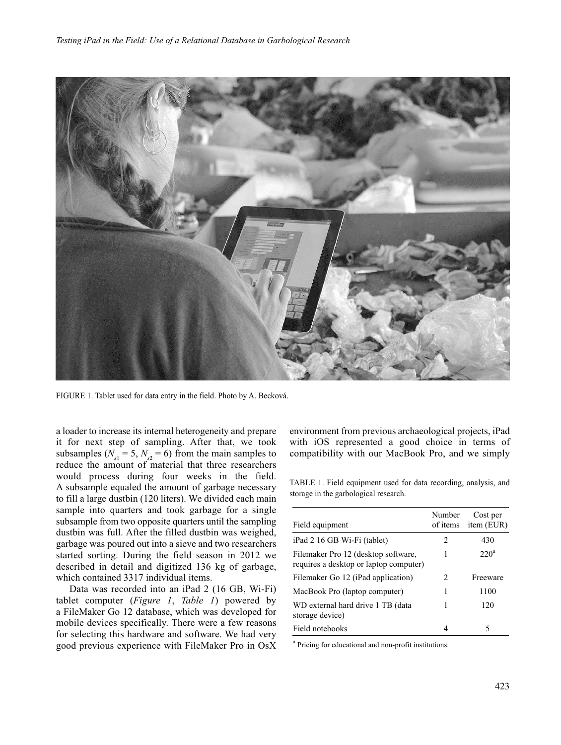

FIGURE 1. Tablet used for data entry in the field. Photo by A. Becková.

a loader to increase its internal heterogeneity and prepare it for next step of sampling. After that, we took subsamples ( $N_{s1} = 5$ ,  $N_{s2} = 6$ ) from the main samples to reduce the amount of material that three researchers would process during four weeks in the field. A subsample equaled the amount of garbage necessary to fill a large dustbin (120 liters). We divided each main sample into quarters and took garbage for a single subsample from two opposite quarters until the sampling dustbin was full. After the filled dustbin was weighed, garbage was poured out into a sieve and two researchers started sorting. During the field season in 2012 we described in detail and digitized 136 kg of garbage, which contained 3317 individual items.

Data was recorded into an iPad 2 (16 GB, Wi-Fi) tablet computer (*Figure 1*, *Table 1*) powered by a FileMaker Go 12 database, which was developed for mobile devices specifically. There were a few reasons for selecting this hardware and software. We had very good previous experience with FileMaker Pro in OsX environment from previous archaeological projects, iPad with iOS represented a good choice in terms of compatibility with our MacBook Pro, and we simply

TABLE 1. Field equipment used for data recording, analysis, and storage in the garbological research.

| Field equipment                                                               | Number<br>of items | Cost per<br>item (EUR) |
|-------------------------------------------------------------------------------|--------------------|------------------------|
| iPad 2 16 GB Wi-Fi (tablet)                                                   | 2                  | 430                    |
| Filemaker Pro 12 (desktop software,<br>requires a desktop or laptop computer) | 1                  | $220^{\circ}$          |
| Filemaker Go 12 (iPad application)                                            | $\mathcal{L}$      | Freeware               |
| MacBook Pro (laptop computer)                                                 | 1                  | 1100                   |
| WD external hard drive 1 TB (data<br>storage device)                          | 1                  | 120                    |
| Field notebooks                                                               | 4                  |                        |

<sup>a</sup> Pricing for educational and non-profit institutions.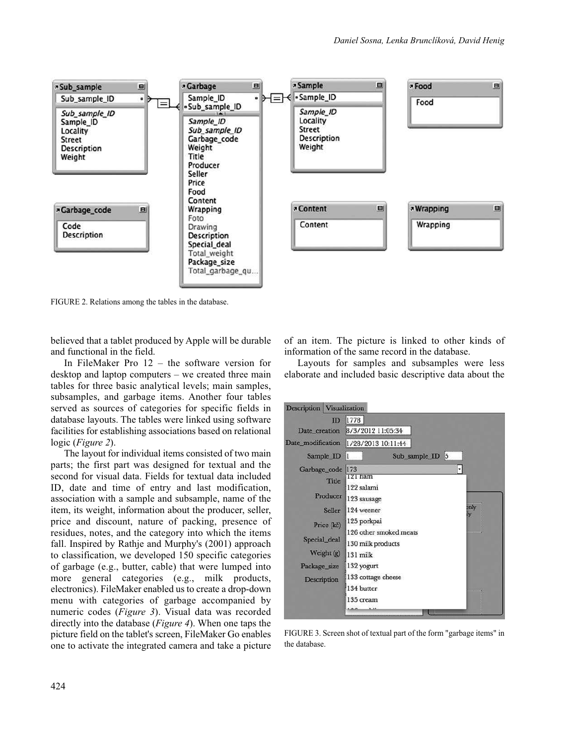

FIGURE 2. Relations among the tables in the database.

believed that a tablet produced by Apple will be durable and functional in the field.

In FileMaker Pro 12 – the software version for desktop and laptop computers – we created three main tables for three basic analytical levels; main samples, subsamples, and garbage items. Another four tables served as sources of categories for specific fields in database layouts. The tables were linked using software facilities for establishing associations based on relational logic (*Figure 2*).

The layout for individual items consisted of two main parts; the first part was designed for textual and the second for visual data. Fields for textual data included ID, date and time of entry and last modification, association with a sample and subsample, name of the item, its weight, information about the producer, seller, price and discount, nature of packing, presence of residues, notes, and the category into which the items fall. Inspired by Rathje and Murphy's (2001) approach to classification, we developed 150 specific categories of garbage (e.g., butter, cable) that were lumped into more general categories (e.g., milk products, electronics). FileMaker enabled us to create a drop-down menu with categories of garbage accompanied by numeric codes (*Figure 3*). Visual data was recorded directly into the database (*Figure 4*). When one taps the picture field on the tablet's screen, FileMaker Go enables one to activate the integrated camera and take a picture

of an item. The picture is linked to other kinds of information of the same record in the database.

Layouts for samples and subsamples were less elaborate and included basic descriptive data about the



FIGURE 3. Screen shot of textual part of the form "garbage items" in the database.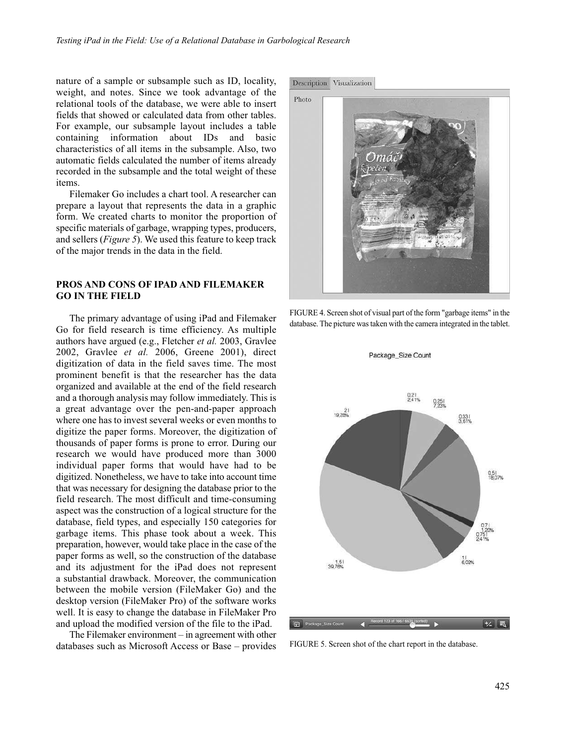nature of a sample or subsample such as ID, locality, weight, and notes. Since we took advantage of the relational tools of the database, we were able to insert fields that showed or calculated data from other tables. For example, our subsample layout includes a table containing information about IDs and basic characteristics of all items in the subsample. Also, two automatic fields calculated the number of items already recorded in the subsample and the total weight of these items.

Filemaker Go includes a chart tool. A researcher can prepare a layout that represents the data in a graphic form. We created charts to monitor the proportion of specific materials of garbage, wrapping types, producers, and sellers (*Figure 5*). We used this feature to keep track of the major trends in the data in the field.

### **PROS AND CONS OF IPAD AND FILEMAKER GO IN THE FIELD**

The primary advantage of using iPad and Filemaker Go for field research is time efficiency. As multiple authors have argued (e.g., Fletcher *et al.* 2003, Gravlee 2002, Gravlee *et al.* 2006, Greene 2001), direct digitization of data in the field saves time. The most prominent benefit is that the researcher has the data organized and available at the end of the field research and a thorough analysis may follow immediately. This is a great advantage over the pen-and-paper approach where one has to invest several weeks or even months to digitize the paper forms. Moreover, the digitization of thousands of paper forms is prone to error. During our research we would have produced more than 3000 individual paper forms that would have had to be digitized. Nonetheless, we have to take into account time that was necessary for designing the database prior to the field research. The most difficult and time-consuming aspect was the construction of a logical structure for the database, field types, and especially 150 categories for garbage items. This phase took about a week. This preparation, however, would take place in the case of the paper forms as well, so the construction of the database and its adjustment for the iPad does not represent a substantial drawback. Moreover, the communication between the mobile version (FileMaker Go) and the desktop version (FileMaker Pro) of the software works well. It is easy to change the database in FileMaker Pro and upload the modified version of the file to the iPad.

The Filemaker environment – in agreement with other databases such as Microsoft Access or Base – provides





Package\_Size Count



FIGURE 5. Screen shot of the chart report in the database.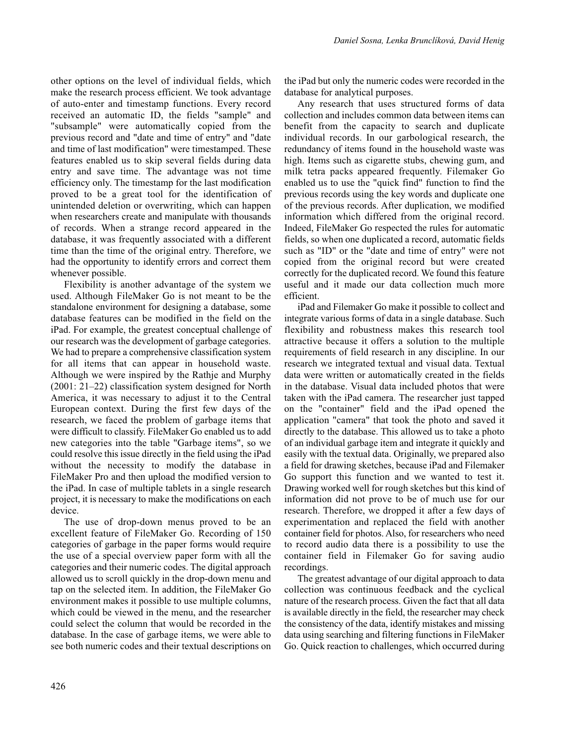other options on the level of individual fields, which make the research process efficient. We took advantage of auto-enter and timestamp functions. Every record received an automatic ID, the fields "sample" and "subsample" were automatically copied from the previous record and "date and time of entry" and "date and time of last modification" were timestamped. These features enabled us to skip several fields during data entry and save time. The advantage was not time efficiency only. The timestamp for the last modification proved to be a great tool for the identification of unintended deletion or overwriting, which can happen when researchers create and manipulate with thousands of records. When a strange record appeared in the database, it was frequently associated with a different time than the time of the original entry. Therefore, we had the opportunity to identify errors and correct them whenever possible.

Flexibility is another advantage of the system we used. Although FileMaker Go is not meant to be the standalone environment for designing a database, some database features can be modified in the field on the iPad. For example, the greatest conceptual challenge of our research was the development of garbage categories. We had to prepare a comprehensive classification system for all items that can appear in household waste. Although we were inspired by the Rathje and Murphy (2001: 21–22) classification system designed for North America, it was necessary to adjust it to the Central European context. During the first few days of the research, we faced the problem of garbage items that were difficult to classify. FileMaker Go enabled us to add new categories into the table "Garbage items", so we could resolve this issue directly in the field using the iPad without the necessity to modify the database in FileMaker Pro and then upload the modified version to the iPad. In case of multiple tablets in a single research project, it is necessary to make the modifications on each device.

The use of drop-down menus proved to be an excellent feature of FileMaker Go. Recording of 150 categories of garbage in the paper forms would require the use of a special overview paper form with all the categories and their numeric codes. The digital approach allowed us to scroll quickly in the drop-down menu and tap on the selected item. In addition, the FileMaker Go environment makes it possible to use multiple columns, which could be viewed in the menu, and the researcher could select the column that would be recorded in the database. In the case of garbage items, we were able to see both numeric codes and their textual descriptions on

the iPad but only the numeric codes were recorded in the database for analytical purposes.

Any research that uses structured forms of data collection and includes common data between items can benefit from the capacity to search and duplicate individual records. In our garbological research, the redundancy of items found in the household waste was high. Items such as cigarette stubs, chewing gum, and milk tetra packs appeared frequently. Filemaker Go enabled us to use the "quick find" function to find the previous records using the key words and duplicate one of the previous records. After duplication, we modified information which differed from the original record. Indeed, FileMaker Go respected the rules for automatic fields, so when one duplicated a record, automatic fields such as "ID" or the "date and time of entry" were not copied from the original record but were created correctly for the duplicated record. We found this feature useful and it made our data collection much more efficient.

iPad and Filemaker Go make it possible to collect and integrate various forms of data in a single database. Such flexibility and robustness makes this research tool attractive because it offers a solution to the multiple requirements of field research in any discipline. In our research we integrated textual and visual data. Textual data were written or automatically created in the fields in the database. Visual data included photos that were taken with the iPad camera. The researcher just tapped on the "container" field and the iPad opened the application "camera" that took the photo and saved it directly to the database. This allowed us to take a photo of an individual garbage item and integrate it quickly and easily with the textual data. Originally, we prepared also a field for drawing sketches, because iPad and Filemaker Go support this function and we wanted to test it. Drawing worked well for rough sketches but this kind of information did not prove to be of much use for our research. Therefore, we dropped it after a few days of experimentation and replaced the field with another container field for photos. Also, for researchers who need to record audio data there is a possibility to use the container field in Filemaker Go for saving audio recordings.

The greatest advantage of our digital approach to data collection was continuous feedback and the cyclical nature of the research process. Given the fact that all data is available directly in the field, the researcher may check the consistency of the data, identify mistakes and missing data using searching and filtering functions in FileMaker Go. Quick reaction to challenges, which occurred during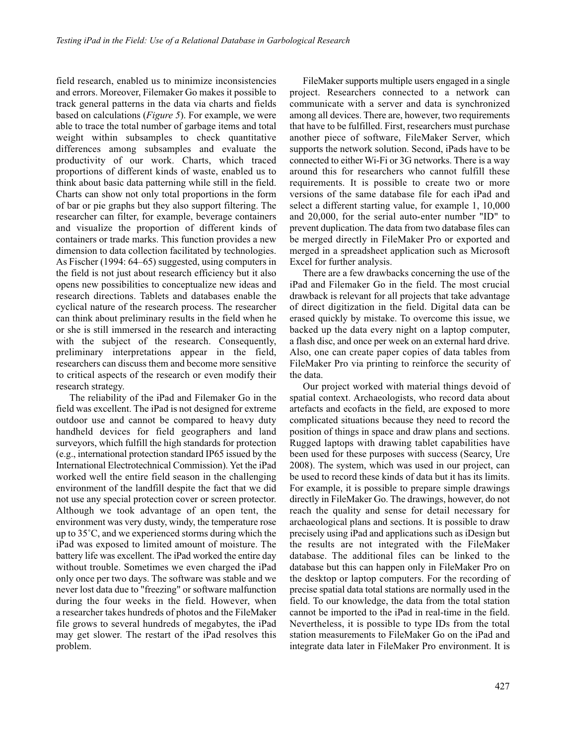field research, enabled us to minimize inconsistencies and errors. Moreover, Filemaker Go makes it possible to track general patterns in the data via charts and fields based on calculations (*Figure 5*). For example, we were able to trace the total number of garbage items and total weight within subsamples to check quantitative differences among subsamples and evaluate the productivity of our work. Charts, which traced proportions of different kinds of waste, enabled us to think about basic data patterning while still in the field. Charts can show not only total proportions in the form of bar or pie graphs but they also support filtering. The researcher can filter, for example, beverage containers and visualize the proportion of different kinds of containers or trade marks. This function provides a new dimension to data collection facilitated by technologies. As Fischer (1994: 64–65) suggested, using computers in the field is not just about research efficiency but it also opens new possibilities to conceptualize new ideas and research directions. Tablets and databases enable the cyclical nature of the research process. The researcher can think about preliminary results in the field when he or she is still immersed in the research and interacting with the subject of the research. Consequently, preliminary interpretations appear in the field, researchers can discuss them and become more sensitive to critical aspects of the research or even modify their research strategy.

The reliability of the iPad and Filemaker Go in the field was excellent. The iPad is not designed for extreme outdoor use and cannot be compared to heavy duty handheld devices for field geographers and land surveyors, which fulfill the high standards for protection (e.g., international protection standard IP65 issued by the International Electrotechnical Commission). Yet the iPad worked well the entire field season in the challenging environment of the landfill despite the fact that we did not use any special protection cover or screen protector. Although we took advantage of an open tent, the environment was very dusty, windy, the temperature rose up to 35˚C, and we experienced storms during which the iPad was exposed to limited amount of moisture. The battery life was excellent. The iPad worked the entire day without trouble. Sometimes we even charged the iPad only once per two days. The software was stable and we never lost data due to "freezing" or software malfunction during the four weeks in the field. However, when a researcher takes hundreds of photos and the FileMaker file grows to several hundreds of megabytes, the iPad may get slower. The restart of the iPad resolves this problem.

FileMaker supports multiple users engaged in a single project. Researchers connected to a network can communicate with a server and data is synchronized among all devices. There are, however, two requirements that have to be fulfilled. First, researchers must purchase another piece of software, FileMaker Server, which supports the network solution. Second, iPads have to be connected to either Wi-Fi or 3G networks. There is a way around this for researchers who cannot fulfill these requirements. It is possible to create two or more versions of the same database file for each iPad and select a different starting value, for example 1, 10,000 and 20,000, for the serial auto-enter number "ID" to prevent duplication. The data from two database files can be merged directly in FileMaker Pro or exported and merged in a spreadsheet application such as Microsoft Excel for further analysis.

There are a few drawbacks concerning the use of the iPad and Filemaker Go in the field. The most crucial drawback is relevant for all projects that take advantage of direct digitization in the field. Digital data can be erased quickly by mistake. To overcome this issue, we backed up the data every night on a laptop computer, a flash disc, and once per week on an external hard drive. Also, one can create paper copies of data tables from FileMaker Pro via printing to reinforce the security of the data.

Our project worked with material things devoid of spatial context. Archaeologists, who record data about artefacts and ecofacts in the field, are exposed to more complicated situations because they need to record the position of things in space and draw plans and sections. Rugged laptops with drawing tablet capabilities have been used for these purposes with success (Searcy, Ure 2008). The system, which was used in our project, can be used to record these kinds of data but it has its limits. For example, it is possible to prepare simple drawings directly in FileMaker Go. The drawings, however, do not reach the quality and sense for detail necessary for archaeological plans and sections. It is possible to draw precisely using iPad and applications such as iDesign but the results are not integrated with the FileMaker database. The additional files can be linked to the database but this can happen only in FileMaker Pro on the desktop or laptop computers. For the recording of precise spatial data total stations are normally used in the field. To our knowledge, the data from the total station cannot be imported to the iPad in real-time in the field. Nevertheless, it is possible to type IDs from the total station measurements to FileMaker Go on the iPad and integrate data later in FileMaker Pro environment. It is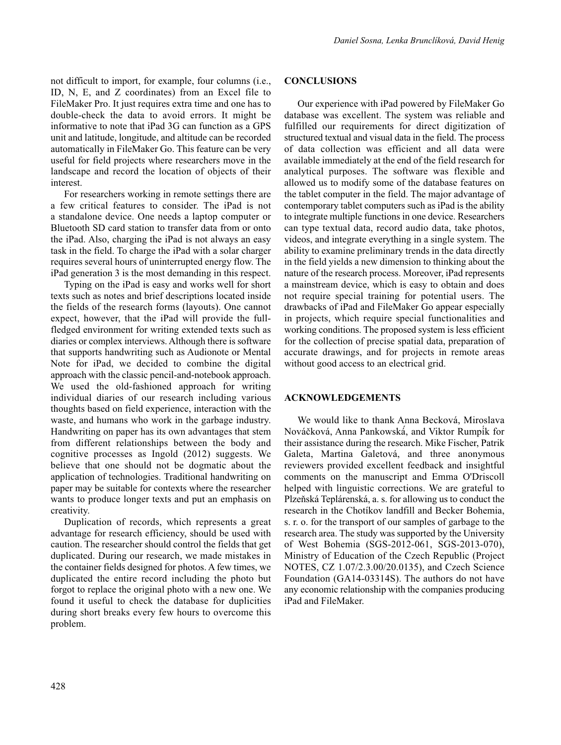not difficult to import, for example, four columns (i.e., ID, N, E, and Z coordinates) from an Excel file to FileMaker Pro. It just requires extra time and one has to double-check the data to avoid errors. It might be informative to note that iPad 3G can function as a GPS unit and latitude, longitude, and altitude can be recorded automatically in FileMaker Go. This feature can be very useful for field projects where researchers move in the landscape and record the location of objects of their interest.

For researchers working in remote settings there are a few critical features to consider. The iPad is not a standalone device. One needs a laptop computer or Bluetooth SD card station to transfer data from or onto the iPad. Also, charging the iPad is not always an easy task in the field. To charge the iPad with a solar charger requires several hours of uninterrupted energy flow. The iPad generation 3 is the most demanding in this respect.

Typing on the iPad is easy and works well for short texts such as notes and brief descriptions located inside the fields of the research forms (layouts). One cannot expect, however, that the iPad will provide the fullfledged environment for writing extended texts such as diaries or complex interviews. Although there is software that supports handwriting such as Audionote or Mental Note for iPad, we decided to combine the digital approach with the classic pencil-and-notebook approach. We used the old-fashioned approach for writing individual diaries of our research including various thoughts based on field experience, interaction with the waste, and humans who work in the garbage industry. Handwriting on paper has its own advantages that stem from different relationships between the body and cognitive processes as Ingold (2012) suggests. We believe that one should not be dogmatic about the application of technologies. Traditional handwriting on paper may be suitable for contexts where the researcher wants to produce longer texts and put an emphasis on creativity.

Duplication of records, which represents a great advantage for research efficiency, should be used with caution. The researcher should control the fields that get duplicated. During our research, we made mistakes in the container fields designed for photos. A few times, we duplicated the entire record including the photo but forgot to replace the original photo with a new one. We found it useful to check the database for duplicities during short breaks every few hours to overcome this problem.

### **CONCLUSIONS**

Our experience with iPad powered by FileMaker Go database was excellent. The system was reliable and fulfilled our requirements for direct digitization of structured textual and visual data in the field. The process of data collection was efficient and all data were available immediately at the end of the field research for analytical purposes. The software was flexible and allowed us to modify some of the database features on the tablet computer in the field. The major advantage of contemporary tablet computers such as iPad is the ability to integrate multiple functions in one device. Researchers can type textual data, record audio data, take photos, videos, and integrate everything in a single system. The ability to examine preliminary trends in the data directly in the field yields a new dimension to thinking about the nature of the research process. Moreover, iPad represents a mainstream device, which is easy to obtain and does not require special training for potential users. The drawbacks of iPad and FileMaker Go appear especially in projects, which require special functionalities and working conditions. The proposed system is less efficient for the collection of precise spatial data, preparation of accurate drawings, and for projects in remote areas without good access to an electrical grid.

### **ACKNOWLEDGEMENTS**

We would like to thank Anna Becková, Miroslava Nováčková, Anna Pankowská́, and Viktor Rumpí́k for their assistance during the research. Mike Fischer, Patrik Galeta, Martina Galetová, and three anonymous reviewers provided excellent feedback and insightful comments on the manuscript and Emma O'Driscoll helped with linguistic corrections. We are grateful to Plzeňská Teplárenská, a. s. for allowing us to conduct the research in the Chotíkov landfill and Becker Bohemia, s. r. o. for the transport of our samples of garbage to the research area. The study was supported by the University of West Bohemia (SGS-2012-061, SGS-2013-070), Ministry of Education of the Czech Republic (Project NOTES, CZ 1.07/2.3.00/20.0135), and Czech Science Foundation (GA14-03314S). The authors do not have any economic relationship with the companies producing iPad and FileMaker.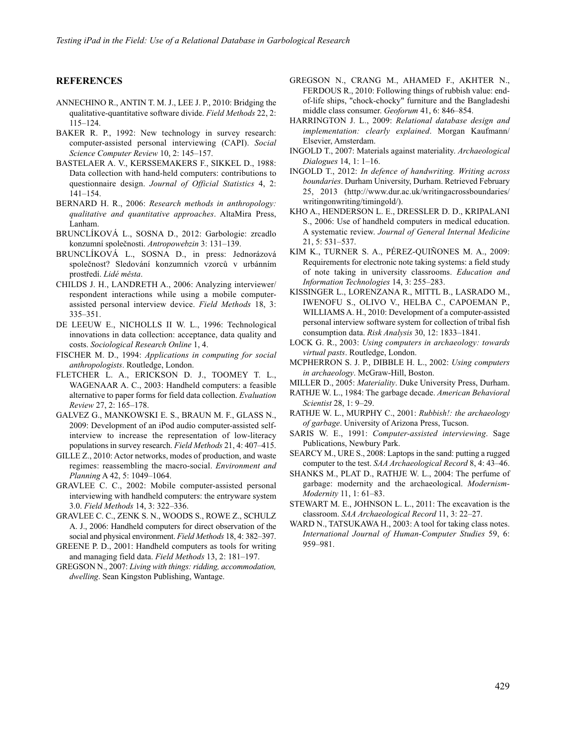### **REFERENCES**

- ANNECHINO R., ANTIN T. M. J., LEE J. P., 2010: Bridging the qualitative-quantitative software divide. *Field Methods* 22, 2: 115–124.
- BAKER R. P., 1992: New technology in survey research: computer-assisted personal interviewing (CAPI). *Social Science Computer Review* 10, 2: 145–157.
- BASTELAER A. V., KERSSEMAKERS F., SIKKEL D., 1988: Data collection with hand-held computers: contributions to questionnaire design. *Journal of Official Statistics* 4, 2: 141–154.
- BERNARD H. R., 2006: *Research methods in anthropology: qualitative and quantitative approaches*. AltaMira Press, Lanham.
- BRUNCLÍKOVÁ L., SOSNA D., 2012: Garbologie: zrcadlo konzumní společnosti. *Antropowebzin* 3: 131–139.
- BRUNCLÍKOVÁ L., SOSNA D., in press: Jednorázová společnost? Sledování konzumních vzorců v urbánním prostředí. *Lidé města*.
- CHILDS J. H., LANDRETH A., 2006: Analyzing interviewer/ respondent interactions while using a mobile computerassisted personal interview device. *Field Methods* 18, 3: 335–351.
- DE LEEUW E., NICHOLLS II W. L., 1996: Technological innovations in data collection: acceptance, data quality and costs. *Sociological Research Online* 1, 4.
- FISCHER M. D., 1994: *Applications in computing for social anthropologists*. Routledge, London.
- FLETCHER L. A., ERICKSON D. J., TOOMEY T. L., WAGENAAR A. C., 2003: Handheld computers: a feasible alternative to paper forms for field data collection. *Evaluation Review* 27, 2: 165–178.
- GALVEZ G., MANKOWSKI E. S., BRAUN M. F., GLASS N., 2009: Development of an iPod audio computer-assisted selfinterview to increase the representation of low-literacy populations in survey research. *Field Methods* 21, 4: 407–415.
- GILLE Z., 2010: Actor networks, modes of production, and waste regimes: reassembling the macro-social. *Environment and Planning* A 42, 5: 1049–1064.
- GRAVLEE C. C., 2002: Mobile computer-assisted personal interviewing with handheld computers: the entryware system 3.0. *Field Methods* 14, 3: 322–336.
- GRAVLEE C. C., ZENK S. N., WOODS S., ROWE Z., SCHULZ A. J., 2006: Handheld computers for direct observation of the social and physical environment. *Field Methods* 18, 4: 382–397.
- GREENE P. D., 2001: Handheld computers as tools for writing and managing field data. *Field Methods* 13, 2: 181–197.
- GREGSON N., 2007: *Living with things: ridding, accommodation, dwelling*. Sean Kingston Publishing, Wantage.
- GREGSON N., CRANG M., AHAMED F., AKHTER N., FERDOUS R., 2010: Following things of rubbish value: endof-life ships, "chock-chocky" furniture and the Bangladeshi middle class consumer. *Geoforum* 41, 6: 846–854.
- HARRINGTON J. L., 2009: *Relational database design and implementation: clearly explained*. Morgan Kaufmann/ Elsevier, Amsterdam.
- INGOLD T., 2007: Materials against materiality. *Archaeological Dialogues* 14, 1: 1–16.
- INGOLD T., 2012: *In defence of handwriting. Writing across boundaries*. Durham University, Durham. Retrieved February 25, 2013 (http://www.dur.ac.uk/writingacrossboundaries/ writingonwriting/timingold/).
- KHO A., HENDERSON L. E., DRESSLER D. D., KRIPALANI S., 2006: Use of handheld computers in medical education. A systematic review. *Journal of General Internal Medicine* 21, 5: 531–537.
- KIM K., TURNER S. A., PÉREZ-QUIÑONES M. A., 2009: Requirements for electronic note taking systems: a field study of note taking in university classrooms. *Education and Information Technologies* 14, 3: 255–283.
- KISSINGER L., LORENZANA R., MITTL B., LASRADO M., IWENOFU S., OLIVO V., HELBA C., CAPOEMAN P., WILLIAMS A. H., 2010: Development of a computer-assisted personal interview software system for collection of tribal fish consumption data. *Risk Analysis* 30, 12: 1833–1841.
- LOCK G. R., 2003: *Using computers in archaeology: towards virtual pasts*. Routledge, London.
- MCPHERRON S. J. P., DIBBLE H. L., 2002: *Using computers in archaeology*. McGraw-Hill, Boston.
- MILLER D., 2005: *Materiality*. Duke University Press, Durham.
- RATHJE W. L., 1984: The garbage decade. *American Behavioral Scientist* 28, 1: 9–29.
- RATHJE W. L., MURPHY C., 2001: *Rubbish!: the archaeology of garbage*. University of Arizona Press, Tucson.
- SARIS W. E., 1991: *Computer-assisted interviewing*. Sage Publications, Newbury Park.
- SEARCY M., URE S., 2008: Laptops in the sand: putting a rugged computer to the test. *SAA Archaeological Record* 8, 4: 43–46.
- SHANKS M., PLAT D., RATHJE W. L., 2004: The perfume of garbage: modernity and the archaeological. *Modernism-Modernity* 11, 1: 61–83.
- STEWART M. E., JOHNSON L. L., 2011: The excavation is the classroom. *SAA Archaeological Record* 11, 3: 22–27.
- WARD N., TATSUKAWA H., 2003: A tool for taking class notes. *International Journal of Human-Computer Studies* 59, 6: 959–981.